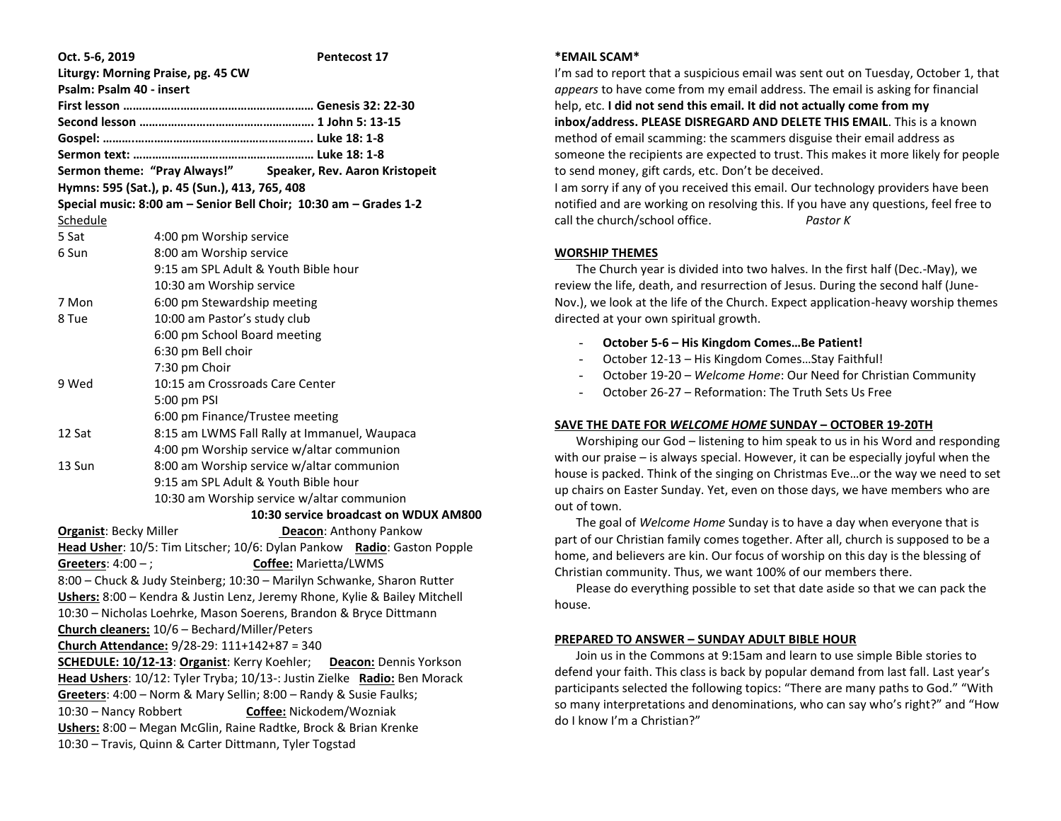| Oct. 5-6, 2019                                                           | <b>Pentecost 17</b>                                                                  |  |  |  |
|--------------------------------------------------------------------------|--------------------------------------------------------------------------------------|--|--|--|
|                                                                          | Liturgy: Morning Praise, pg. 45 CW                                                   |  |  |  |
| Psalm: Psalm 40 - insert                                                 |                                                                                      |  |  |  |
|                                                                          |                                                                                      |  |  |  |
|                                                                          |                                                                                      |  |  |  |
|                                                                          |                                                                                      |  |  |  |
|                                                                          |                                                                                      |  |  |  |
|                                                                          | Sermon theme: "Pray Always!" Speaker, Rev. Aaron Kristopeit                          |  |  |  |
|                                                                          | Hymns: 595 (Sat.), p. 45 (Sun.), 413, 765, 408                                       |  |  |  |
|                                                                          | Special music: 8:00 am - Senior Bell Choir; 10:30 am - Grades 1-2                    |  |  |  |
| Schedule                                                                 |                                                                                      |  |  |  |
| 5 Sat                                                                    | 4:00 pm Worship service                                                              |  |  |  |
| 6 Sun                                                                    | 8:00 am Worship service                                                              |  |  |  |
|                                                                          | 9:15 am SPL Adult & Youth Bible hour                                                 |  |  |  |
|                                                                          | 10:30 am Worship service                                                             |  |  |  |
| 7 Mon                                                                    | 6:00 pm Stewardship meeting                                                          |  |  |  |
| 10:00 am Pastor's study club<br>8 Tue                                    |                                                                                      |  |  |  |
|                                                                          | 6:00 pm School Board meeting                                                         |  |  |  |
|                                                                          | 6:30 pm Bell choir                                                                   |  |  |  |
|                                                                          | 7:30 pm Choir                                                                        |  |  |  |
| 9 Wed                                                                    | 10:15 am Crossroads Care Center                                                      |  |  |  |
|                                                                          | 5:00 pm PSI                                                                          |  |  |  |
|                                                                          | 6:00 pm Finance/Trustee meeting                                                      |  |  |  |
| 12 Sat                                                                   | 8:15 am LWMS Fall Rally at Immanuel, Waupaca                                         |  |  |  |
|                                                                          | 4:00 pm Worship service w/altar communion                                            |  |  |  |
| 13 Sun                                                                   | 8:00 am Worship service w/altar communion                                            |  |  |  |
|                                                                          | 9:15 am SPL Adult & Youth Bible hour                                                 |  |  |  |
|                                                                          | 10:30 am Worship service w/altar communion                                           |  |  |  |
|                                                                          | 10:30 service broadcast on WDUX AM800                                                |  |  |  |
| <b>Organist: Becky Miller</b>                                            | Deacon: Anthony Pankow                                                               |  |  |  |
|                                                                          | Head Usher: 10/5: Tim Litscher; 10/6: Dylan Pankow Radio: Gaston Popple              |  |  |  |
| Greeters: $4:00 -$ ;                                                     | Coffee: Marietta/LWMS                                                                |  |  |  |
|                                                                          | 8:00 - Chuck & Judy Steinberg; 10:30 - Marilyn Schwanke, Sharon Rutter               |  |  |  |
|                                                                          | Ushers: 8:00 - Kendra & Justin Lenz, Jeremy Rhone, Kylie & Bailey Mitchell           |  |  |  |
|                                                                          | 10:30 - Nicholas Loehrke, Mason Soerens, Brandon & Bryce Dittmann                    |  |  |  |
|                                                                          | Church cleaners: 10/6 - Bechard/Miller/Peters                                        |  |  |  |
|                                                                          | Church Attendance: 9/28-29: 111+142+87 = 340                                         |  |  |  |
|                                                                          | <b>SCHEDULE: 10/12-13: Organist:</b> Kerry Koehler;<br><b>Deacon:</b> Dennis Yorkson |  |  |  |
| Head Ushers: 10/12: Tyler Tryba; 10/13-: Justin Zielke Radio: Ben Morack |                                                                                      |  |  |  |
| Greeters: 4:00 - Norm & Mary Sellin; 8:00 - Randy & Susie Faulks;        |                                                                                      |  |  |  |
| Coffee: Nickodem/Wozniak<br>10:30 - Nancy Robbert                        |                                                                                      |  |  |  |
| Ushers: 8:00 - Megan McGlin, Raine Radtke, Brock & Brian Krenke          |                                                                                      |  |  |  |
|                                                                          | 10:30 - Travis, Quinn & Carter Dittmann, Tyler Togstad                               |  |  |  |
|                                                                          |                                                                                      |  |  |  |

#### **\*EMAIL SCAM\***

I'm sad to report that a suspicious email was sent out on Tuesday, October 1, that *appears* to have come from my email address. The email is asking for financial help, etc. **I did not send this email. It did not actually come from my inbox/address. PLEASE DISREGARD AND DELETE THIS EMAIL**. This is a known method of email scamming: the scammers disguise their email address as someone the recipients are expected to trust. This makes it more likely for people to send money, gift cards, etc. Don't be deceived. I am sorry if any of you received this email. Our technology providers have been notified and are working on resolving this. If you have any questions, feel free to

## **WORSHIP THEMES**

 The Church year is divided into two halves. In the first half (Dec.-May), we review the life, death, and resurrection of Jesus. During the second half (June-Nov.), we look at the life of the Church. Expect application-heavy worship themes directed at your own spiritual growth.

- **October 5-6 – His Kingdom Comes…Be Patient!**

call the church/school office. *Pastor K*

- October 12-13 His Kingdom Comes…Stay Faithful!
- October 19-20 *Welcome Home*: Our Need for Christian Community
- October 26-27 Reformation: The Truth Sets Us Free

## **SAVE THE DATE FOR** *WELCOME HOME* **SUNDAY – OCTOBER 19-20TH**

 Worshiping our God – listening to him speak to us in his Word and responding with our praise – is always special. However, it can be especially joyful when the house is packed. Think of the singing on Christmas Eve…or the way we need to set up chairs on Easter Sunday. Yet, even on those days, we have members who are out of town.

 The goal of *Welcome Home* Sunday is to have a day when everyone that is part of our Christian family comes together. After all, church is supposed to be a home, and believers are kin. Our focus of worship on this day is the blessing of Christian community. Thus, we want 100% of our members there.

 Please do everything possible to set that date aside so that we can pack the house.

### **PREPARED TO ANSWER – SUNDAY ADULT BIBLE HOUR**

 Join us in the Commons at 9:15am and learn to use simple Bible stories to defend your faith. This class is back by popular demand from last fall. Last year's participants selected the following topics: "There are many paths to God." "With so many interpretations and denominations, who can say who's right?" and "How do I know I'm a Christian?"